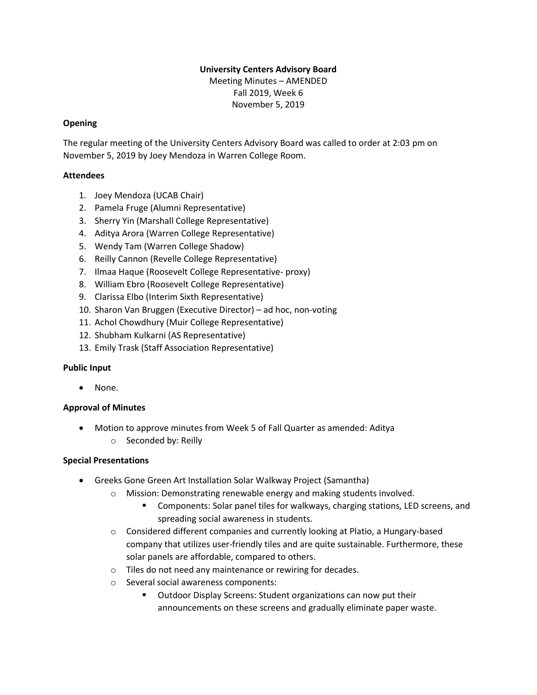### **University Centers Advisory Board**

Meeting Minutes – AMENDED Fall 2019, Week 6 November 5, 2019

### **Opening**

The regular meeting of the University Centers Advisory Board was called to order at 2:03 pm on November 5, 2019 by Joey Mendoza in Warren College Room.

### **Attendees**

- 1. Joey Mendoza (UCAB Chair)
- 2. Pamela Fruge (Alumni Representative)
- 3. Sherry Yin (Marshall College Representative)
- 4. Aditya Arora (Warren College Representative)
- 5. Wendy Tam (Warren College Shadow)
- 6. Reilly Cannon (Revelle College Representative)
- 7. Ilmaa Haque (Roosevelt College Representative- proxy)
- 8. William Ebro (Roosevelt College Representative)
- 9. Clarissa Elbo (Interim Sixth Representative)
- 10. Sharon Van Bruggen (Executive Director) ad hoc, non-voting
- 11. Achol Chowdhury (Muir College Representative)
- 12. Shubham Kulkarni (AS Representative)
- 13. Emily Trask (Staff Association Representative)

### **Public Input**

• None.

# **Approval of Minutes**

• Motion to approve minutes from Week 5 of Fall Quarter as amended: Aditya o Seconded by: Reilly

### **Special Presentations**

- Greeks Gone Green Art Installation Solar Walkway Project (Samantha)
	- o Mission: Demonstrating renewable energy and making students involved.
		- Components: Solar panel tiles for walkways, charging stations, LED screens, and spreading social awareness in students.
	- $\circ$  Considered different companies and currently looking at Platio, a Hungary-based company that utilizes user-friendly tiles and are quite sustainable. Furthermore, these solar panels are affordable, compared to others.
	- o Tiles do not need any maintenance or rewiring for decades.
	- o Several social awareness components:
		- Outdoor Display Screens: Student organizations can now put their announcements on these screens and gradually eliminate paper waste.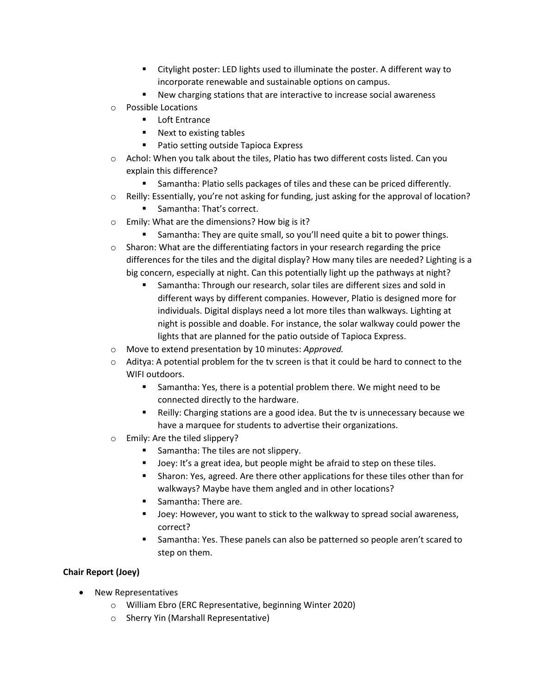- Citylight poster: LED lights used to illuminate the poster. A different way to incorporate renewable and sustainable options on campus.
- New charging stations that are interactive to increase social awareness
- o Possible Locations
	- Loft Entrance
	- Next to existing tables
	- Patio setting outside Tapioca Express
- $\circ$  Achol: When you talk about the tiles, Platio has two different costs listed. Can you explain this difference?
	- **EXECUTE:** Samantha: Platio sells packages of tiles and these can be priced differently.
- o Reilly: Essentially, you're not asking for funding, just asking for the approval of location?
	- Samantha: That's correct.
- o Emily: What are the dimensions? How big is it?
	- Samantha: They are quite small, so you'll need quite a bit to power things.
- $\circ$  Sharon: What are the differentiating factors in your research regarding the price differences for the tiles and the digital display? How many tiles are needed? Lighting is a big concern, especially at night. Can this potentially light up the pathways at night?
	- Samantha: Through our research, solar tiles are different sizes and sold in different ways by different companies. However, Platio is designed more for individuals. Digital displays need a lot more tiles than walkways. Lighting at night is possible and doable. For instance, the solar walkway could power the lights that are planned for the patio outside of Tapioca Express.
- o Move to extend presentation by 10 minutes: *Approved.*
- $\circ$  Aditya: A potential problem for the tv screen is that it could be hard to connect to the WIFI outdoors.
	- Samantha: Yes, there is a potential problem there. We might need to be connected directly to the hardware.
	- Reilly: Charging stations are a good idea. But the tv is unnecessary because we have a marquee for students to advertise their organizations.
- o Emily: Are the tiled slippery?
	- Samantha: The tiles are not slippery.
	- Joey: It's a great idea, but people might be afraid to step on these tiles.
	- Sharon: Yes, agreed. Are there other applications for these tiles other than for walkways? Maybe have them angled and in other locations?
	- Samantha: There are.
	- Joey: However, you want to stick to the walkway to spread social awareness, correct?
	- Samantha: Yes. These panels can also be patterned so people aren't scared to step on them.

# **Chair Report (Joey)**

- New Representatives
	- o William Ebro (ERC Representative, beginning Winter 2020)
	- o Sherry Yin (Marshall Representative)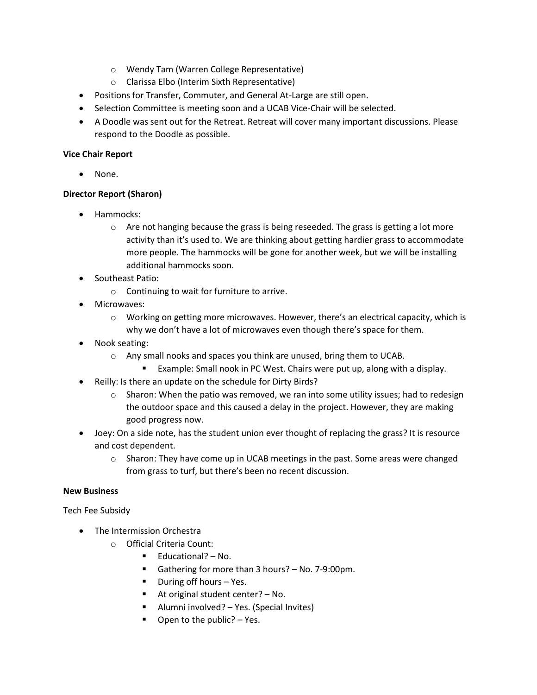- o Wendy Tam (Warren College Representative)
- o Clarissa Elbo (Interim Sixth Representative)
- Positions for Transfer, Commuter, and General At-Large are still open.
- Selection Committee is meeting soon and a UCAB Vice-Chair will be selected.
- A Doodle was sent out for the Retreat. Retreat will cover many important discussions. Please respond to the Doodle as possible.

## **Vice Chair Report**

None.

# **Director Report (Sharon)**

- Hammocks:
	- $\circ$  Are not hanging because the grass is being reseeded. The grass is getting a lot more activity than it's used to. We are thinking about getting hardier grass to accommodate more people. The hammocks will be gone for another week, but we will be installing additional hammocks soon.
- Southeast Patio:
	- o Continuing to wait for furniture to arrive.
- Microwaves:
	- o Working on getting more microwaves. However, there's an electrical capacity, which is why we don't have a lot of microwaves even though there's space for them.
- Nook seating:
	- o Any small nooks and spaces you think are unused, bring them to UCAB.
		- Example: Small nook in PC West. Chairs were put up, along with a display.
- Reilly: Is there an update on the schedule for Dirty Birds?
	- $\circ$  Sharon: When the patio was removed, we ran into some utility issues; had to redesign the outdoor space and this caused a delay in the project. However, they are making good progress now.
- Joey: On a side note, has the student union ever thought of replacing the grass? It is resource and cost dependent.
	- $\circ$  Sharon: They have come up in UCAB meetings in the past. Some areas were changed from grass to turf, but there's been no recent discussion.

### **New Business**

Tech Fee Subsidy

- The Intermission Orchestra
	- o Official Criteria Count:
		- Educational? No.
		- Gathering for more than 3 hours? No. 7-9:00pm.
		- During off hours Yes.
		- At original student center? No.
		- Alumni involved? Yes. (Special Invites)
		- $\blacksquare$  Open to the public? Yes.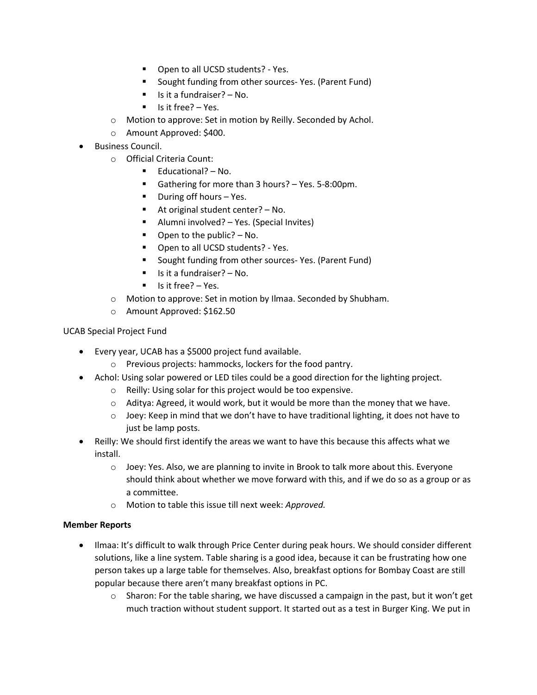- Open to all UCSD students? Yes.
- Sought funding from other sources- Yes. (Parent Fund)
- $\blacksquare$  Is it a fundraiser? No.
- Is it free? Yes.
- o Motion to approve: Set in motion by Reilly. Seconded by Achol.
- o Amount Approved: \$400.
- Business Council.
	- o Official Criteria Count:
		- Educational? No.
		- Gathering for more than 3 hours? Yes. 5-8:00pm.
		- During off hours Yes.
		- At original student center? No.
		- Alumni involved? Yes. (Special Invites)
		- $\blacksquare$  Open to the public? No.
		- Open to all UCSD students? Yes.
		- Sought funding from other sources- Yes. (Parent Fund)
		- $\blacksquare$  Is it a fundraiser? No.
		- Is it free? Yes.
	- o Motion to approve: Set in motion by Ilmaa. Seconded by Shubham.
	- o Amount Approved: \$162.50

UCAB Special Project Fund

- Every year, UCAB has a \$5000 project fund available.
	- o Previous projects: hammocks, lockers for the food pantry.
- Achol: Using solar powered or LED tiles could be a good direction for the lighting project.
	- o Reilly: Using solar for this project would be too expensive.
	- $\circ$  Aditya: Agreed, it would work, but it would be more than the money that we have.
	- $\circ$  Joey: Keep in mind that we don't have to have traditional lighting, it does not have to just be lamp posts.
- Reilly: We should first identify the areas we want to have this because this affects what we install.
	- o Joey: Yes. Also, we are planning to invite in Brook to talk more about this. Everyone should think about whether we move forward with this, and if we do so as a group or as a committee.
	- o Motion to table this issue till next week: *Approved.*

### **Member Reports**

- Ilmaa: It's difficult to walk through Price Center during peak hours. We should consider different solutions, like a line system. Table sharing is a good idea, because it can be frustrating how one person takes up a large table for themselves. Also, breakfast options for Bombay Coast are still popular because there aren't many breakfast options in PC.
	- $\circ$  Sharon: For the table sharing, we have discussed a campaign in the past, but it won't get much traction without student support. It started out as a test in Burger King. We put in